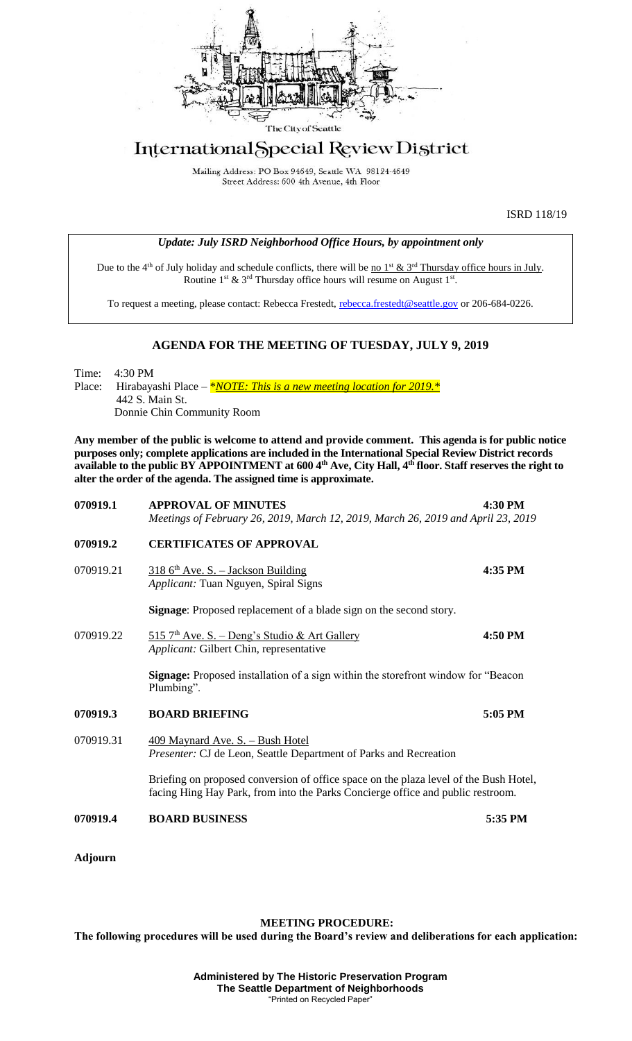

## International Special Review District

Mailing Address: PO Box 94649, Seattle WA 98124-4649 Street Address: 600 4th Avenue, 4th Floor

ISRD 118/19

|  | Update: July ISRD Neighborhood Office Hours, by appointment only |  |
|--|------------------------------------------------------------------|--|
|  |                                                                  |  |

Due to the 4<sup>th</sup> of July holiday and schedule conflicts, there will be <u>no 1<sup>st</sup> & 3<sup>rd</sup> Thursday office hours in July</u>. Routine  $1^{st}$  &  $3^{rd}$  Thursday office hours will resume on August  $1^{st}$ .

To request a meeting, please contact: Rebecca Frestedt, [rebecca.frestedt@seattle.gov](mailto:rebecca.frestedt@seattle.gov) or 206-684-0226.

## **AGENDA FOR THE MEETING OF TUESDAY, JULY 9, 2019**

Time: 4:30 PM Place: Hirabayashi Place – *\*NOTE: This is a new meeting location for 2019.* \* 442 S. Main St. Donnie Chin Community Room

**Any member of the public is welcome to attend and provide comment. This agenda is for public notice purposes only; complete applications are included in the International Special Review District records available to the public BY APPOINTMENT at 600 4th Ave, City Hall, 4th floor. Staff reserves the right to alter the order of the agenda. The assigned time is approximate.** 

| 070919.1       | <b>APPROVAL OF MINUTES</b><br>Meetings of February 26, 2019, March 12, 2019, March 26, 2019 and April 23, 2019                                                           | 4:30 PM |
|----------------|--------------------------------------------------------------------------------------------------------------------------------------------------------------------------|---------|
| 070919.2       | <b>CERTIFICATES OF APPROVAL</b>                                                                                                                                          |         |
| 070919.21      | $3186$ <sup>th</sup> Ave. S. - Jackson Building<br>Applicant: Tuan Nguyen, Spiral Signs                                                                                  | 4:35 PM |
|                | Signage: Proposed replacement of a blade sign on the second story.                                                                                                       |         |
| 070919.22      | $515$ 7 <sup>th</sup> Ave. S. – Deng's Studio & Art Gallery<br>Applicant: Gilbert Chin, representative                                                                   | 4:50 PM |
|                | Signage: Proposed installation of a sign within the storefront window for "Beacon"<br>Plumbing".                                                                         |         |
| 070919.3       | <b>BOARD BRIEFING</b>                                                                                                                                                    | 5:05 PM |
| 070919.31      | <u>409 Maynard Ave. S. – Bush Hotel</u><br>Presenter: CJ de Leon, Seattle Department of Parks and Recreation                                                             |         |
|                | Briefing on proposed conversion of office space on the plaza level of the Bush Hotel,<br>facing Hing Hay Park, from into the Parks Concierge office and public restroom. |         |
| 070919.4       | <b>BOARD BUSINESS</b>                                                                                                                                                    | 5:35 PM |
| <b>Adjourn</b> |                                                                                                                                                                          |         |

## **MEETING PROCEDURE:**

**The following procedures will be used during the Board's review and deliberations for each application:**